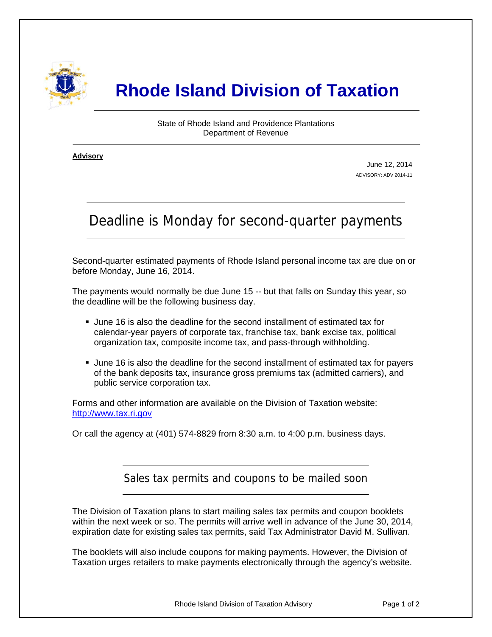

## **Rhode Island Division of Taxation**

State of Rhode Island and Providence Plantations Department of Revenue

**Advisory** ٦

i

June 12, 2014 ADVISORY: ADV 2014-11

## Deadline is Monday for second-quarter payments

Second-quarter estimated payments of Rhode Island personal income tax are due on or before Monday, June 16, 2014.

The payments would normally be due June 15 -- but that falls on Sunday this year, so the deadline will be the following business day.

- June 16 is also the deadline for the second installment of estimated tax for calendar-year payers of corporate tax, franchise tax, bank excise tax, political organization tax, composite income tax, and pass-through withholding.
- June 16 is also the deadline for the second installment of estimated tax for payers of the bank deposits tax, insurance gross premiums tax (admitted carriers), and public service corporation tax.

Forms and other information are available on the Division of Taxation website: [http://www.tax.ri.gov](http://www.tax.ri.gov/)

Or call the agency at (401) 574-8829 from 8:30 a.m. to 4:00 p.m. business days.

Sales tax permits and coupons to be mailed soon

The Division of Taxation plans to start mailing sales tax permits and coupon booklets within the next week or so. The permits will arrive well in advance of the June 30, 2014, expiration date for existing sales tax permits, said Tax Administrator David M. Sullivan.

The booklets will also include coupons for making payments. However, the Division of Taxation urges retailers to make payments electronically through the agency's website.